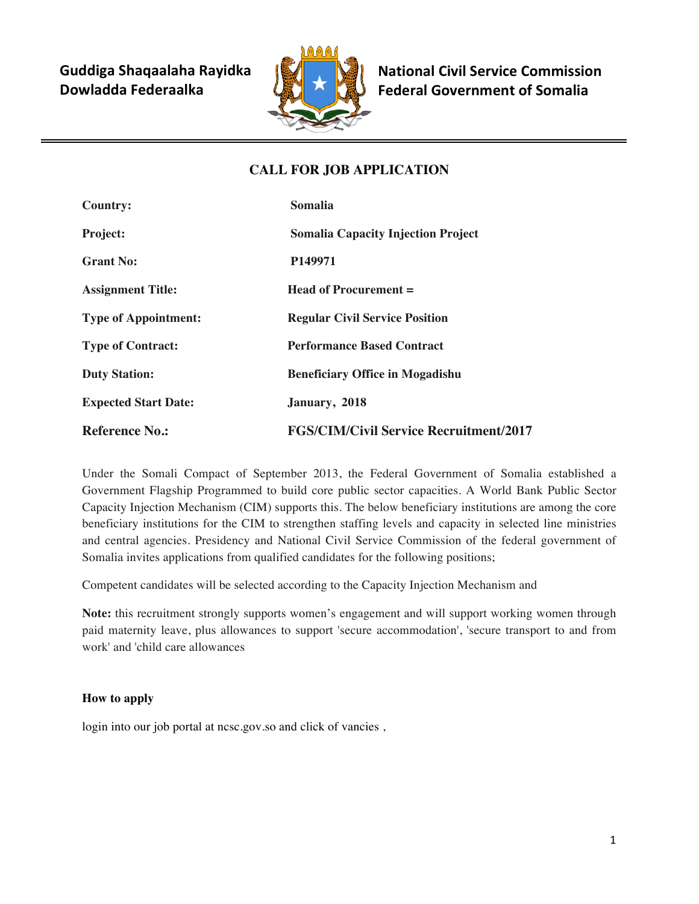**Guddiga Shaqaalaha Rayidka Dowladda Federaalka** 



**National Civil Service Commission Federal Government of Somalia** 

# **CALL FOR JOB APPLICATION**

| <b>Country:</b>             | <b>Somalia</b>                                |
|-----------------------------|-----------------------------------------------|
| <b>Project:</b>             | <b>Somalia Capacity Injection Project</b>     |
| <b>Grant No:</b>            | P <sub>149971</sub>                           |
| <b>Assignment Title:</b>    | Head of Procurement =                         |
| <b>Type of Appointment:</b> | <b>Regular Civil Service Position</b>         |
| <b>Type of Contract:</b>    | <b>Performance Based Contract</b>             |
| <b>Duty Station:</b>        | <b>Beneficiary Office in Mogadishu</b>        |
| <b>Expected Start Date:</b> | January, 2018                                 |
| <b>Reference No.:</b>       | <b>FGS/CIM/Civil Service Recruitment/2017</b> |

Under the Somali Compact of September 2013, the Federal Government of Somalia established a Government Flagship Programmed to build core public sector capacities. A World Bank Public Sector Capacity Injection Mechanism (CIM) supports this. The below beneficiary institutions are among the core beneficiary institutions for the CIM to strengthen staffing levels and capacity in selected line ministries and central agencies. Presidency and National Civil Service Commission of the federal government of Somalia invites applications from qualified candidates for the following positions;

Competent candidates will be selected according to the Capacity Injection Mechanism and

**Note:** this recruitment strongly supports women's engagement and will support working women through paid maternity leave, plus allowances to support 'secure accommodation', 'secure transport to and from work' and 'child care allowances

# **How to apply**

login into our job portal at ncsc.gov.so and click of vancies,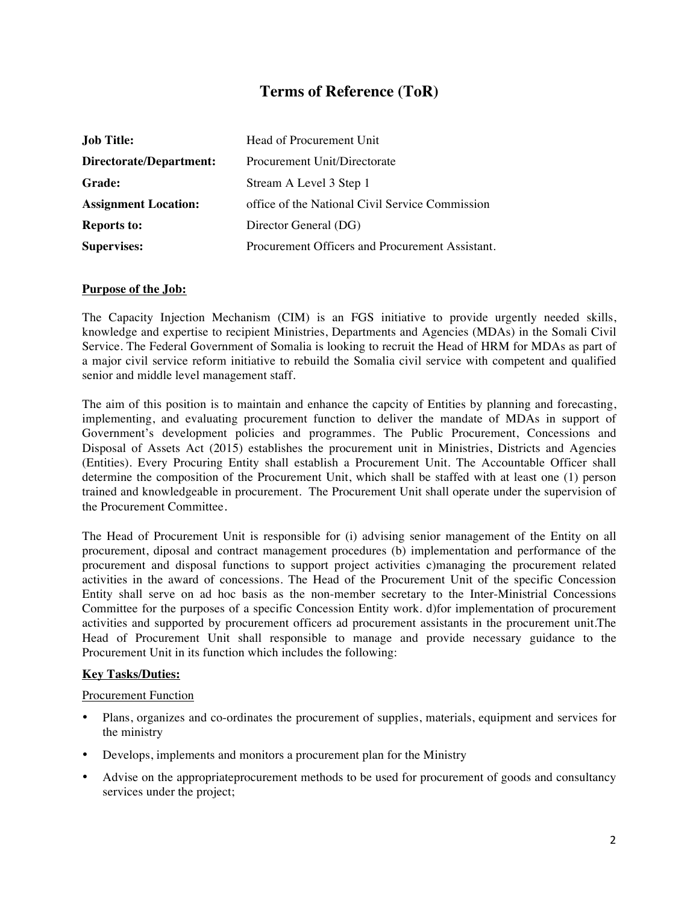# **Terms of Reference (ToR)**

| <b>Job Title:</b>           | Head of Procurement Unit                        |
|-----------------------------|-------------------------------------------------|
| Directorate/Department:     | Procurement Unit/Directorate                    |
| <b>Grade:</b>               | Stream A Level 3 Step 1                         |
| <b>Assignment Location:</b> | office of the National Civil Service Commission |
| <b>Reports to:</b>          | Director General (DG)                           |
| <b>Supervises:</b>          | Procurement Officers and Procurement Assistant. |

#### **Purpose of the Job:**

The Capacity Injection Mechanism (CIM) is an FGS initiative to provide urgently needed skills, knowledge and expertise to recipient Ministries, Departments and Agencies (MDAs) in the Somali Civil Service. The Federal Government of Somalia is looking to recruit the Head of HRM for MDAs as part of a major civil service reform initiative to rebuild the Somalia civil service with competent and qualified senior and middle level management staff.

The aim of this position is to maintain and enhance the capcity of Entities by planning and forecasting, implementing, and evaluating procurement function to deliver the mandate of MDAs in support of Government's development policies and programmes. The Public Procurement, Concessions and Disposal of Assets Act (2015) establishes the procurement unit in Ministries, Districts and Agencies (Entities). Every Procuring Entity shall establish a Procurement Unit. The Accountable Officer shall determine the composition of the Procurement Unit, which shall be staffed with at least one (1) person trained and knowledgeable in procurement. The Procurement Unit shall operate under the supervision of the Procurement Committee.

The Head of Procurement Unit is responsible for (i) advising senior management of the Entity on all procurement, diposal and contract management procedures (b) implementation and performance of the procurement and disposal functions to support project activities c)managing the procurement related activities in the award of concessions. The Head of the Procurement Unit of the specific Concession Entity shall serve on ad hoc basis as the non-member secretary to the Inter-Ministrial Concessions Committee for the purposes of a specific Concession Entity work. d)for implementation of procurement activities and supported by procurement officers ad procurement assistants in the procurement unit.The Head of Procurement Unit shall responsible to manage and provide necessary guidance to the Procurement Unit in its function which includes the following:

#### **Key Tasks/Duties:**

#### Procurement Function

- Plans, organizes and co-ordinates the procurement of supplies, materials, equipment and services for the ministry
- Develops, implements and monitors a procurement plan for the Ministry
- Advise on the appropriateprocurement methods to be used for procurement of goods and consultancy services under the project;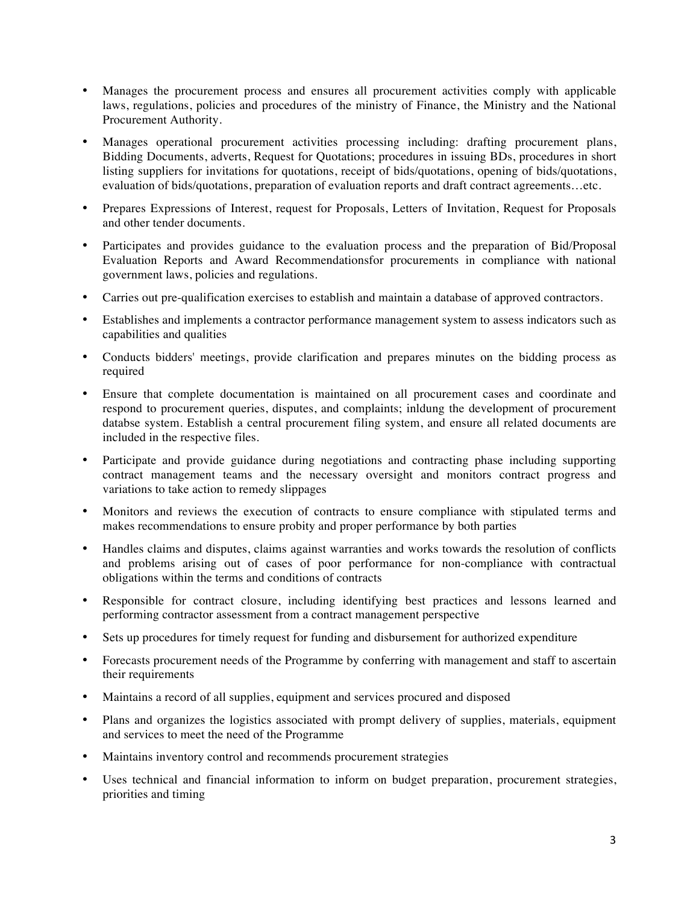- Manages the procurement process and ensures all procurement activities comply with applicable laws, regulations, policies and procedures of the ministry of Finance, the Ministry and the National Procurement Authority.
- Manages operational procurement activities processing including: drafting procurement plans, Bidding Documents, adverts, Request for Quotations; procedures in issuing BDs, procedures in short listing suppliers for invitations for quotations, receipt of bids/quotations, opening of bids/quotations, evaluation of bids/quotations, preparation of evaluation reports and draft contract agreements…etc.
- Prepares Expressions of Interest, request for Proposals, Letters of Invitation, Request for Proposals and other tender documents.
- Participates and provides guidance to the evaluation process and the preparation of Bid/Proposal Evaluation Reports and Award Recommendationsfor procurements in compliance with national government laws, policies and regulations.
- Carries out pre-qualification exercises to establish and maintain a database of approved contractors.
- Establishes and implements a contractor performance management system to assess indicators such as capabilities and qualities
- Conducts bidders' meetings, provide clarification and prepares minutes on the bidding process as required
- Ensure that complete documentation is maintained on all procurement cases and coordinate and respond to procurement queries, disputes, and complaints; inldung the development of procurement databse system. Establish a central procurement filing system, and ensure all related documents are included in the respective files.
- Participate and provide guidance during negotiations and contracting phase including supporting contract management teams and the necessary oversight and monitors contract progress and variations to take action to remedy slippages
- Monitors and reviews the execution of contracts to ensure compliance with stipulated terms and makes recommendations to ensure probity and proper performance by both parties
- Handles claims and disputes, claims against warranties and works towards the resolution of conflicts and problems arising out of cases of poor performance for non-compliance with contractual obligations within the terms and conditions of contracts
- Responsible for contract closure, including identifying best practices and lessons learned and performing contractor assessment from a contract management perspective
- Sets up procedures for timely request for funding and disbursement for authorized expenditure
- Forecasts procurement needs of the Programme by conferring with management and staff to ascertain their requirements
- Maintains a record of all supplies, equipment and services procured and disposed
- Plans and organizes the logistics associated with prompt delivery of supplies, materials, equipment and services to meet the need of the Programme
- Maintains inventory control and recommends procurement strategies
- Uses technical and financial information to inform on budget preparation, procurement strategies, priorities and timing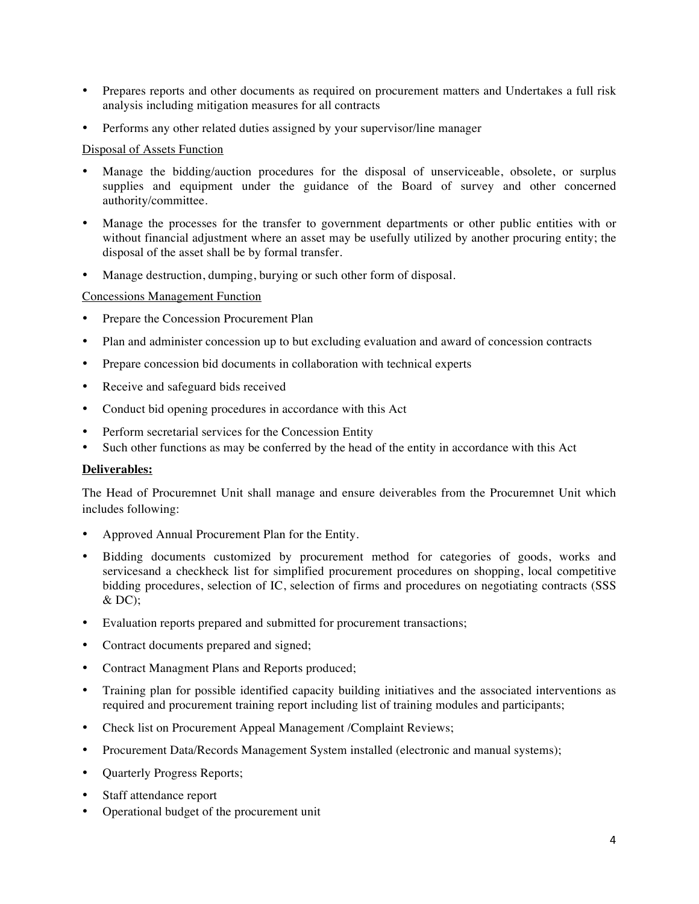- Prepares reports and other documents as required on procurement matters and Undertakes a full risk analysis including mitigation measures for all contracts
- Performs any other related duties assigned by your supervisor/line manager

#### Disposal of Assets Function

- Manage the bidding/auction procedures for the disposal of unserviceable, obsolete, or surplus supplies and equipment under the guidance of the Board of survey and other concerned authority/committee.
- Manage the processes for the transfer to government departments or other public entities with or without financial adjustment where an asset may be usefully utilized by another procuring entity; the disposal of the asset shall be by formal transfer.
- Manage destruction, dumping, burying or such other form of disposal.

#### Concessions Management Function

- Prepare the Concession Procurement Plan
- Plan and administer concession up to but excluding evaluation and award of concession contracts
- Prepare concession bid documents in collaboration with technical experts
- Receive and safeguard bids received
- Conduct bid opening procedures in accordance with this Act
- Perform secretarial services for the Concession Entity
- Such other functions as may be conferred by the head of the entity in accordance with this Act

### **Deliverables:**

The Head of Procuremnet Unit shall manage and ensure deiverables from the Procuremnet Unit which includes following:

- Approved Annual Procurement Plan for the Entity.
- Bidding documents customized by procurement method for categories of goods, works and servicesand a checkheck list for simplified procurement procedures on shopping, local competitive bidding procedures, selection of IC, selection of firms and procedures on negotiating contracts (SSS  $&$  DC);
- Evaluation reports prepared and submitted for procurement transactions;
- Contract documents prepared and signed;
- Contract Managment Plans and Reports produced;
- Training plan for possible identified capacity building initiatives and the associated interventions as required and procurement training report including list of training modules and participants;
- Check list on Procurement Appeal Management /Complaint Reviews;
- Procurement Data/Records Management System installed (electronic and manual systems);
- Quarterly Progress Reports;
- Staff attendance report
- Operational budget of the procurement unit